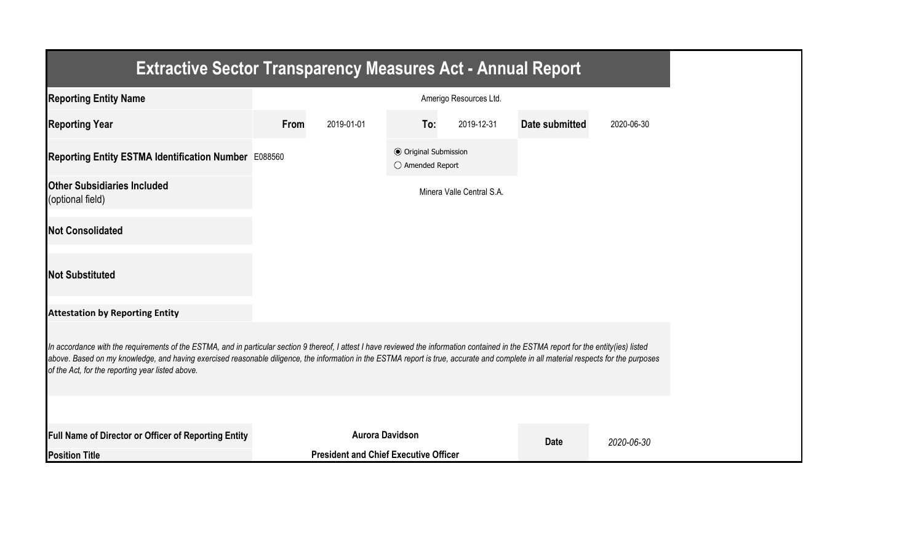| <b>Extractive Sector Transparency Measures Act - Annual Report</b>                                                                                                                                                                                                                                                                                                                                                                    |      |                                              |                                                  |                           |                |            |
|---------------------------------------------------------------------------------------------------------------------------------------------------------------------------------------------------------------------------------------------------------------------------------------------------------------------------------------------------------------------------------------------------------------------------------------|------|----------------------------------------------|--------------------------------------------------|---------------------------|----------------|------------|
| <b>Reporting Entity Name</b>                                                                                                                                                                                                                                                                                                                                                                                                          |      |                                              |                                                  | Amerigo Resources Ltd.    |                |            |
| <b>Reporting Year</b>                                                                                                                                                                                                                                                                                                                                                                                                                 | From | 2019-01-01                                   | To:                                              | 2019-12-31                | Date submitted | 2020-06-30 |
| Reporting Entity ESTMA Identification Number E088560                                                                                                                                                                                                                                                                                                                                                                                  |      |                                              | <b>● Original Submission</b><br>○ Amended Report |                           |                |            |
| <b>Other Subsidiaries Included</b><br>(optional field)                                                                                                                                                                                                                                                                                                                                                                                |      |                                              |                                                  | Minera Valle Central S.A. |                |            |
| <b>Not Consolidated</b>                                                                                                                                                                                                                                                                                                                                                                                                               |      |                                              |                                                  |                           |                |            |
| <b>Not Substituted</b>                                                                                                                                                                                                                                                                                                                                                                                                                |      |                                              |                                                  |                           |                |            |
| <b>Attestation by Reporting Entity</b>                                                                                                                                                                                                                                                                                                                                                                                                |      |                                              |                                                  |                           |                |            |
| In accordance with the requirements of the ESTMA, and in particular section 9 thereof, I attest I have reviewed the information contained in the ESTMA report for the entity(ies) listed<br>above. Based on my knowledge, and having exercised reasonable diligence, the information in the ESTMA report is true, accurate and complete in all material respects for the purposes<br>of the Act, for the reporting year listed above. |      |                                              |                                                  |                           |                |            |
|                                                                                                                                                                                                                                                                                                                                                                                                                                       |      |                                              |                                                  |                           |                |            |
| <b>Full Name of Director or Officer of Reporting Entity</b>                                                                                                                                                                                                                                                                                                                                                                           |      | <b>Aurora Davidson</b>                       |                                                  |                           | <b>Date</b>    | 2020-06-30 |
| <b>Position Title</b>                                                                                                                                                                                                                                                                                                                                                                                                                 |      | <b>President and Chief Executive Officer</b> |                                                  |                           |                |            |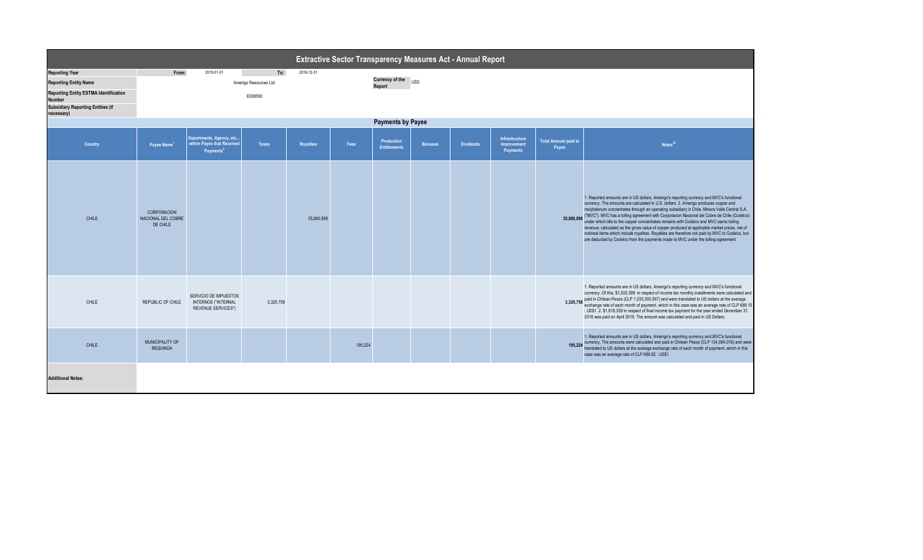| Extractive Sector Transparency Measures Act - Annual Report   |                                               |                                                                                  |                        |                  |         |                                   |                |                  |                                                         |                                      |                                                                                                                                                                                                                                                                                                                                                                                                                                                                                                                                                                                                                                                                                                                                                                                |  |
|---------------------------------------------------------------|-----------------------------------------------|----------------------------------------------------------------------------------|------------------------|------------------|---------|-----------------------------------|----------------|------------------|---------------------------------------------------------|--------------------------------------|--------------------------------------------------------------------------------------------------------------------------------------------------------------------------------------------------------------------------------------------------------------------------------------------------------------------------------------------------------------------------------------------------------------------------------------------------------------------------------------------------------------------------------------------------------------------------------------------------------------------------------------------------------------------------------------------------------------------------------------------------------------------------------|--|
| <b>Reporting Year</b>                                         | From:                                         | 2019-01-01                                                                       | To:                    | 2019-12-31       |         |                                   |                |                  |                                                         |                                      |                                                                                                                                                                                                                                                                                                                                                                                                                                                                                                                                                                                                                                                                                                                                                                                |  |
| <b>Reporting Entity Name</b>                                  |                                               |                                                                                  | Amerigo Resources Ltd. |                  |         | <b>Currency of the</b><br>Report  | <b>USD</b>     |                  |                                                         |                                      |                                                                                                                                                                                                                                                                                                                                                                                                                                                                                                                                                                                                                                                                                                                                                                                |  |
| <b>Reporting Entity ESTMA Identification</b><br><b>Number</b> |                                               |                                                                                  | E088560                |                  |         |                                   |                |                  |                                                         |                                      |                                                                                                                                                                                                                                                                                                                                                                                                                                                                                                                                                                                                                                                                                                                                                                                |  |
| <b>Subsidiary Reporting Entities (if</b><br>necessary)        |                                               |                                                                                  |                        |                  |         |                                   |                |                  |                                                         |                                      |                                                                                                                                                                                                                                                                                                                                                                                                                                                                                                                                                                                                                                                                                                                                                                                |  |
| <b>Payments by Payee</b>                                      |                                               |                                                                                  |                        |                  |         |                                   |                |                  |                                                         |                                      |                                                                                                                                                                                                                                                                                                                                                                                                                                                                                                                                                                                                                                                                                                                                                                                |  |
| <b>Country</b>                                                | Payee Name <sup>1</sup>                       | Departments, Agency, etc<br>within Payee that Received<br>Payments <sup>2</sup>  | <b>Taxes</b>           | <b>Royalties</b> | Fees    | Production<br><b>Entitlements</b> | <b>Bonuses</b> | <b>Dividends</b> | <b>Infrastructure</b><br>Improvement<br><b>Payments</b> | <b>Total Amount paid to</b><br>Payee | Notes <sup>34</sup>                                                                                                                                                                                                                                                                                                                                                                                                                                                                                                                                                                                                                                                                                                                                                            |  |
| <b>CHILE</b>                                                  | CORPORACION<br>NACIONAL DEL COBRE<br>DE CHILE |                                                                                  |                        | 35,880,898       |         |                                   |                |                  |                                                         |                                      | 1. Reported amounts are in US dollars, Amerigo's reporting currency and MVC's functional<br>currency. The amounts are calculated in U.S. dollars. 2. Amerigo produces copper and<br>molybdenum concentrates through an operating subsidiary in Chile, Minera Valle Central S.A.<br>35,880,898 ("MVC"). MVC has a tolling agreement with Corporacion Nacional del Cobre de Chile (Codelco)<br>under which title to the copper concentrates remains with Codelco and MVC earns tolling<br>revenue, calculated as the gross value of copper produced at applicable market prices, net of<br>notional items which include royalties. Royalties are therefore not paid by MVC to Codelco, but<br>are deducted by Codelco from the payments made to MVC under the tolling agreement. |  |
| CHILE                                                         | REPUBLIC OF CHILE                             | SERVICIO DE IMPUESTOS<br><b>INTERNOS ("INTERNAL</b><br><b>REVENUE SERVICES")</b> | 3,320,758              |                  |         |                                   |                |                  |                                                         |                                      | 1. Reported amounts are in US dollars, Amerigo's reporting currency and MVC's functional<br>currency. Of this, \$1,502,399 in respect of income tax monthly installments were calculated and<br>3,320,758 paid in Chilean Pesos (CLP 1,035,300,567) and were translated to US dollars at the average<br>exchange rate of each month of payment, which in this case was an average rate of CLP 689.10<br>: US\$1. 2. \$1,818,359 in respect of final income tax payment for the year ended December 31,<br>2018 was paid on April 2019. The amount was calculated and paid in US Dollars.                                                                                                                                                                                       |  |
| CHILE                                                         | MUNICIPALITY OF<br><b>REQUINOA</b>            |                                                                                  |                        |                  | 195,224 |                                   |                |                  |                                                         |                                      | 1. Reported amounts are in US dollars, Amerigo's reporting currency and MVC's functional<br>195,224 currency. The amounts were calculated and paid in Chilean Pesos (CLP 134,084,016) and were<br>translated to US dollars at the average exchange rate of each month of payment, which in this<br>case was an average rate of CLP 686.82 : US\$1.                                                                                                                                                                                                                                                                                                                                                                                                                             |  |
| <b>Additional Notes:</b>                                      |                                               |                                                                                  |                        |                  |         |                                   |                |                  |                                                         |                                      |                                                                                                                                                                                                                                                                                                                                                                                                                                                                                                                                                                                                                                                                                                                                                                                |  |